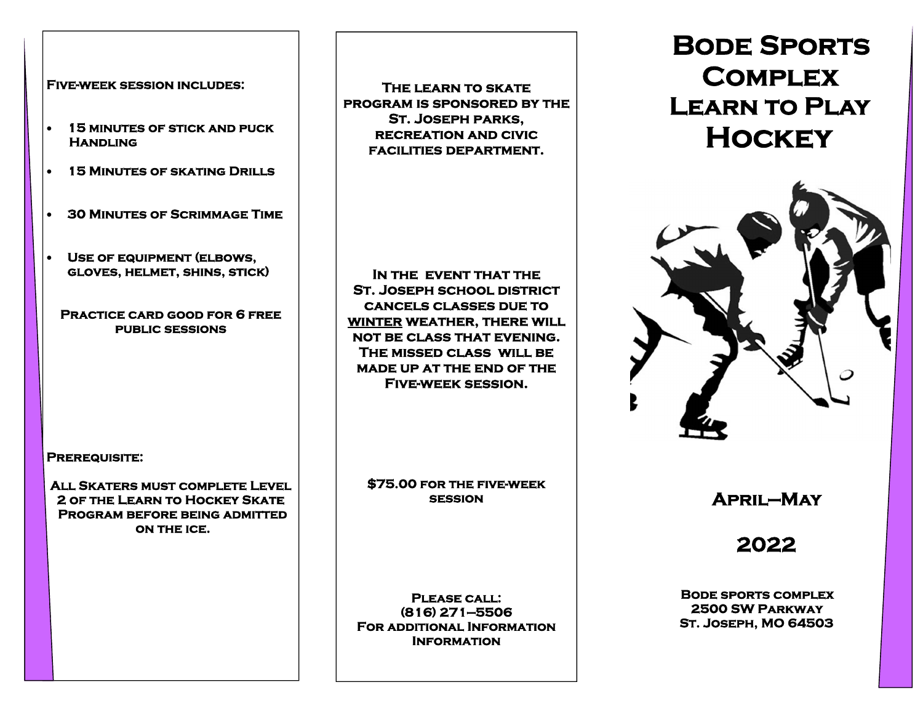### **Five-week session includes:**

- $\bullet$  **15 minutes of stick and puck Handling**
- $\bullet$ **15 Minutes of skating Drills**
- $\bullet$ **30 Minutes of Scrimmage Time**
- $\bullet$  **Use of equipment (elbows, gloves, helmet, shins, stick)**

**Practice card good for 6 free public sessions** 

**Prerequisite:** 

**All Skaters must complete Level 2 of the Learn to Hockey Skate Program before being admitted on the ice.** 

**The learn to skate program is sponsored by the St. Joseph parks, recreation and civic facilities department.** 

**In the event that the St. Joseph school district cancels classes due to winter weather, there will not be class that evening. The missed class will be made up at the end of the Five-week session.** 

**\$75.00 for the five-week session** 

**Please call: (816) 271—5506 For additional Information Information** 

# **Bode Sports Complex Learn to Play Hockey**



 **April—May** 

 **2022** 

**Bode sports complex 2500 SW Parkway St. Joseph, MO 64503**